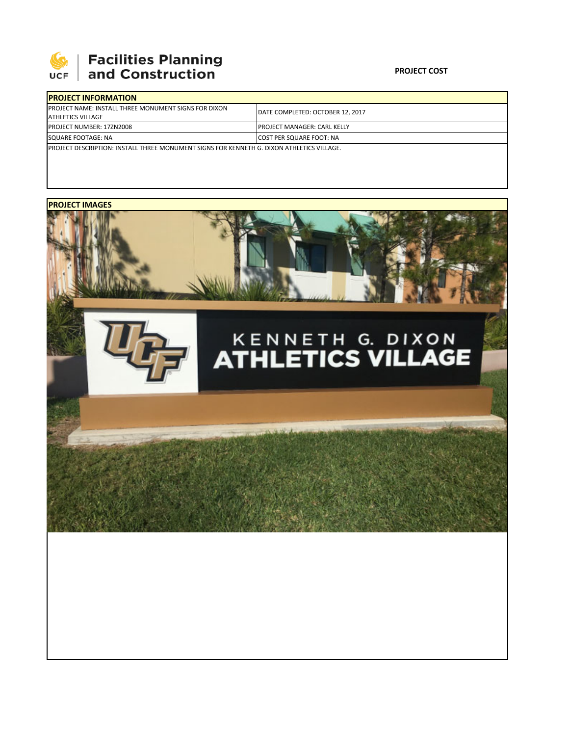

## | Facilities Planning<br>| and Construction

## **PROJECT COST**

| <b>IPROJECT INFORMATION</b>                                                                       |                                   |  |  |  |
|---------------------------------------------------------------------------------------------------|-----------------------------------|--|--|--|
| <b>IPROJECT NAME: INSTALL THREE MONUMENT SIGNS FOR DIXON</b><br><b>ATHLETICS VILLAGE</b>          | IDATE COMPLETED: OCTOBER 12. 2017 |  |  |  |
| <b>PROJECT NUMBER: 17ZN2008</b>                                                                   | IPROJECT MANAGER: CARL KELLY      |  |  |  |
| SQUARE FOOTAGE: NA                                                                                | <b>COST PER SQUARE FOOT: NA</b>   |  |  |  |
| <b>IPROJECT DESCRIPTION: INSTALL THREE MONUMENT SIGNS FOR KENNETH G. DIXON ATHLETICS VILLAGE.</b> |                                   |  |  |  |